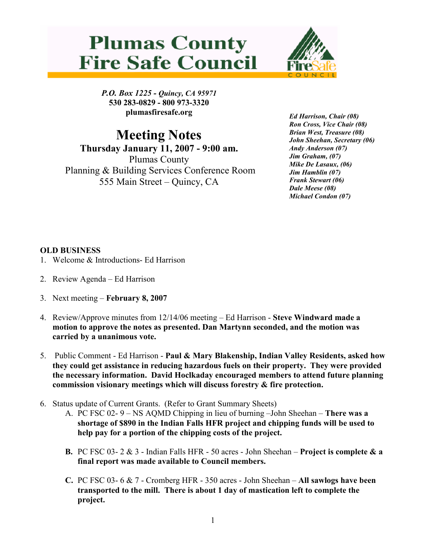## **Plumas County Fire Safe Council**



P.O. Box 1225 - Quincy, CA 95971 530 283-0829 - 800 973-3320 plumasfiresafe.org

Meeting Notes Thursday January 11, 2007 - 9:00 am. Plumas County Planning & Building Services Conference Room 555 Main Street – Quincy, CA

Ed Harrison, Chair (08) Ron Cross, Vice Chair (08) Brian West, Treasure (08) John Sheehan, Secretary (06) Andy Anderson (07) Jim Graham, (07) Mike De Lasaux, (06) Jim Hamblin (07) Frank Stewart (06) Dale Meese (08) Michael Condon (07)

## OLD BUSINESS

- 1. Welcome & Introductions- Ed Harrison
- 2. Review Agenda Ed Harrison
- 3. Next meeting February 8, 2007
- 4. Review/Approve minutes from 12/14/06 meeting Ed Harrison Steve Windward made a motion to approve the notes as presented. Dan Martynn seconded, and the motion was carried by a unanimous vote.
- 5. Public Comment Ed Harrison Paul & Mary Blakenship, Indian Valley Residents, asked how they could get assistance in reducing hazardous fuels on their property. They were provided the necessary information. David Hoclkaday encouraged members to attend future planning commission visionary meetings which will discuss forestry & fire protection.
- 6. Status update of Current Grants. (Refer to Grant Summary Sheets)
	- A. PC FSC 02- 9 NS AQMD Chipping in lieu of burning –John Sheehan There was a shortage of \$890 in the Indian Falls HFR project and chipping funds will be used to help pay for a portion of the chipping costs of the project.
	- **B.** PC FSC 03- 2  $\&$  3 Indian Falls HFR 50 acres John Sheehan **Project is complete**  $\&$  **a** final report was made available to Council members.
	- C. PC FSC 03- 6 & 7 Cromberg HFR 350 acres John Sheehan All sawlogs have been transported to the mill. There is about 1 day of mastication left to complete the project.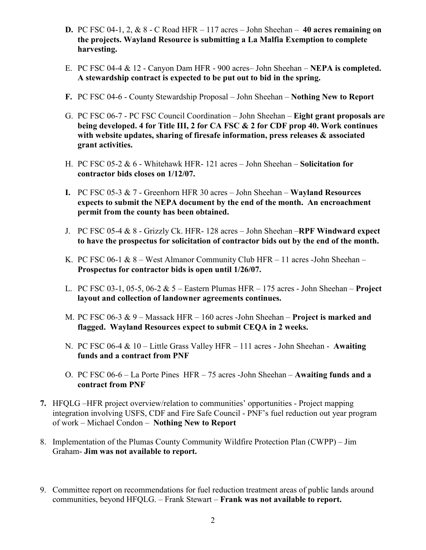- **D.** PC FSC 04-1, 2,  $\&$  8 C Road HFR  $-117$  acres  $-$  John Sheehan  $-$  40 acres remaining on the projects. Wayland Resource is submitting a La Malfia Exemption to complete harvesting.
- E. PC FSC 04-4 & 12 Canyon Dam HFR 900 acres– John Sheehan NEPA is completed. A stewardship contract is expected to be put out to bid in the spring.
- F. PC FSC 04-6 County Stewardship Proposal John Sheehan Nothing New to Report
- G. PC FSC 06-7 PC FSC Council Coordination John Sheehan Eight grant proposals are being developed. 4 for Title III, 2 for CA FSC & 2 for CDF prop 40. Work continues with website updates, sharing of firesafe information, press releases & associated grant activities.
- H. PC FSC 05-2 & 6 Whitehawk HFR- 121 acres John Sheehan Solicitation for contractor bids closes on 1/12/07.
- I. PC FSC 05-3 & 7 Greenhorn HFR 30 acres John Sheehan Wayland Resources expects to submit the NEPA document by the end of the month. An encroachment permit from the county has been obtained.
- J. PC FSC 05-4  $\&$  8 Grizzly Ck. HFR- 128 acres John Sheehan –RPF Windward expect to have the prospectus for solicitation of contractor bids out by the end of the month.
- K. PC FSC 06-1  $& 8 -$  West Almanor Community Club HFR 11 acres -John Sheehan Prospectus for contractor bids is open until 1/26/07.
- L. PC FSC 03-1, 05-5, 06-2  $& 5$  Eastern Plumas HFR 175 acres John Sheehan **Project** layout and collection of landowner agreements continues.
- M. PC FSC 06-3  $& 9 -$  Massack HFR 160 acres -John Sheehan **Project is marked and** flagged. Wayland Resources expect to submit CEQA in 2 weeks.
- N. PC FSC 06-4 & 10 Little Grass Valley HFR 111 acres John Sheehan Awaiting funds and a contract from PNF
- O. PC FSC 06-6 La Porte Pines HFR 75 acres -John Sheehan Awaiting funds and a contract from PNF
- 7. HFQLG –HFR project overview/relation to communities' opportunities Project mapping integration involving USFS, CDF and Fire Safe Council - PNF's fuel reduction out year program of work – Michael Condon – Nothing New to Report
- 8. Implementation of the Plumas County Community Wildfire Protection Plan (CWPP) Jim Graham- Jim was not available to report.
- 9. Committee report on recommendations for fuel reduction treatment areas of public lands around communities, beyond HFQLG. – Frank Stewart – Frank was not available to report.